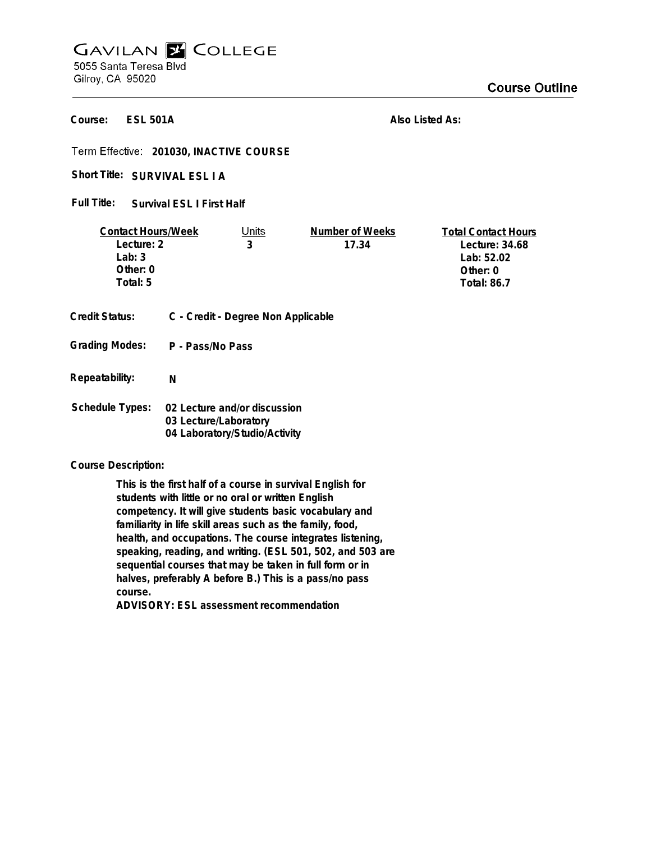## **GAVILAN E COLLEGE** 5055 Santa Teresa Blvd Gilroy, CA 95020

**Course Outline** 

**ESL 501A Course:**

**Also Listed As:**

**201030, INACTIVE COURSE**

Short Title: SURVIVAL ESL I A

**Survival ESL I First Half Full Title:**

| <b>Contact Hours/Week</b> |                       | Units                              | Number of Weeks | <b>Total Contact Hours</b> |
|---------------------------|-----------------------|------------------------------------|-----------------|----------------------------|
| Lecture: 2                |                       | 3                                  | 17.34           | Lecture: 34.68             |
| Lab: $3$                  |                       |                                    |                 | Lab: 52.02                 |
| Other: 0                  |                       |                                    |                 | Other: 0                   |
| Total: 5                  |                       |                                    |                 | <b>Total: 86.7</b>         |
|                           |                       |                                    |                 |                            |
| <b>Credit Status:</b>     |                       | C - Credit - Degree Non Applicable |                 |                            |
| <b>Grading Modes:</b>     | P - Pass/No Pass      |                                    |                 |                            |
| Repeatability:            | N                     |                                    |                 |                            |
| <b>Schedule Types:</b>    |                       | 02 Lecture and/or discussion       |                 |                            |
|                           | 03 Lecture/Laboratory |                                    |                 |                            |
|                           |                       | 04 Laboratory/Studio/Activity      |                 |                            |

**Course Description:**

**This is the first half of a course in survival English for students with little or no oral or written English competency. It will give students basic vocabulary and familiarity in life skill areas such as the family, food, health, and occupations. The course integrates listening, speaking, reading, and writing. (ESL 501, 502, and 503 are sequential courses that may be taken in full form or in halves, preferably A before B.) This is a pass/no pass course.**

**ADVISORY: ESL assessment recommendation**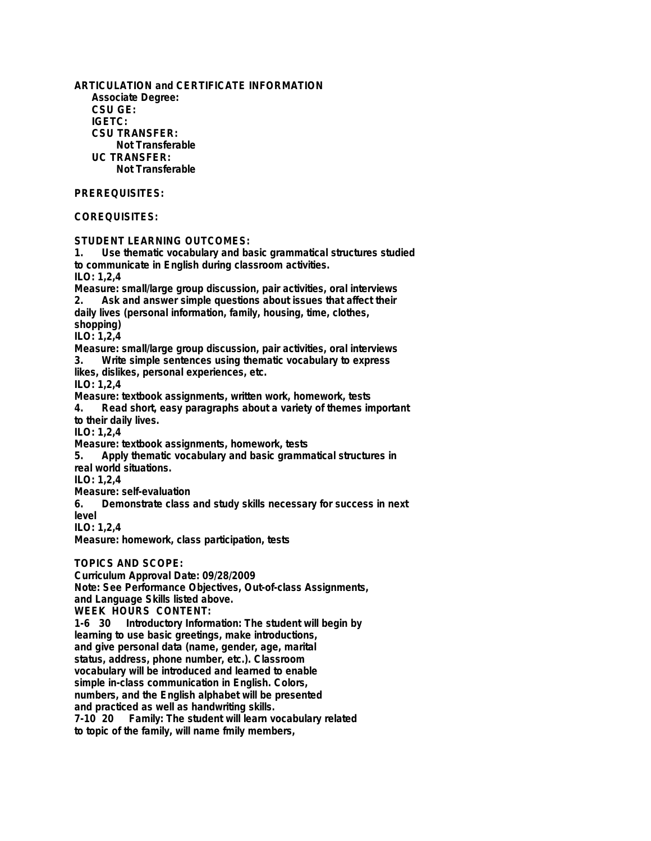**ARTICULATION and CERTIFICATE INFORMATION Associate Degree: CSU GE: IGETC: CSU TRANSFER: Not Transferable UC TRANSFER: Not Transferable PREREQUISITES: COREQUISITES: STUDENT LEARNING OUTCOMES: 1. Use thematic vocabulary and basic grammatical structures studied to communicate in English during classroom activities. ILO: 1,2,4 Measure: small/large group discussion, pair activities, oral interviews 2. Ask and answer simple questions about issues that affect their daily lives (personal information, family, housing, time, clothes, shopping) ILO: 1,2,4 Measure: small/large group discussion, pair activities, oral interviews 3. Write simple sentences using thematic vocabulary to express likes, dislikes, personal experiences, etc. ILO: 1,2,4 Measure: textbook assignments, written work, homework, tests 4. Read short, easy paragraphs about a variety of themes important to their daily lives. ILO: 1,2,4 Measure: textbook assignments, homework, tests 5. Apply thematic vocabulary and basic grammatical structures in real world situations. ILO: 1,2,4 Measure: self-evaluation 6. Demonstrate class and study skills necessary for success in next level ILO: 1,2,4 Measure: homework, class participation, tests TOPICS AND SCOPE: Curriculum Approval Date: 09/28/2009 Note: See Performance Objectives, Out-of-class Assignments, and Language Skills listed above. WEEK HOURS CONTENT: 1-6 30 Introductory Information: The student will begin by**

**learning to use basic greetings, make introductions, and give personal data (name, gender, age, marital status, address, phone number, etc.). Classroom vocabulary will be introduced and learned to enable simple in-class communication in English. Colors, numbers, and the English alphabet will be presented and practiced as well as handwriting skills.** Family: The student will learn vocabulary related **to topic of the family, will name fmily members,**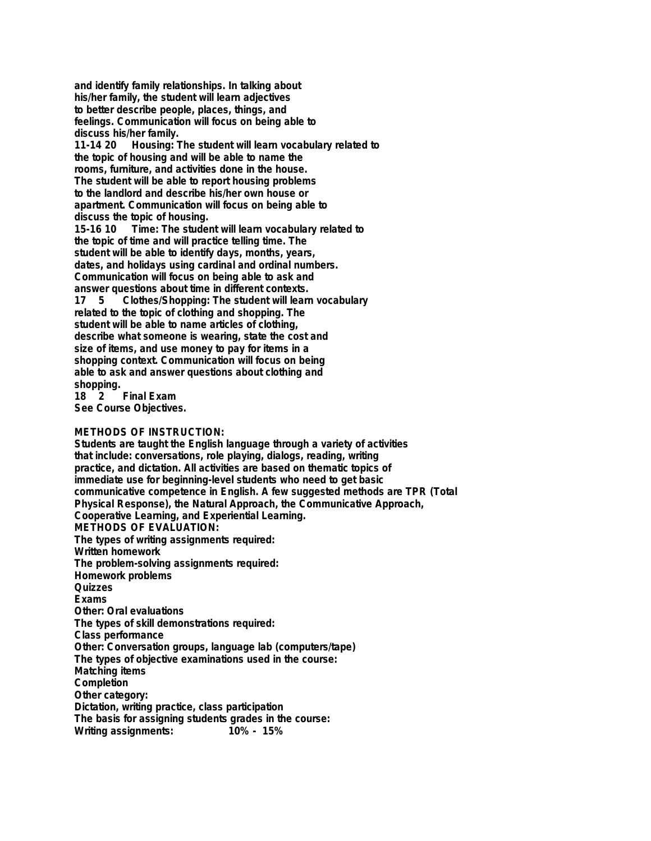**and identify family relationships. In talking about his/her family, the student will learn adjectives to better describe people, places, things, and feelings. Communication will focus on being able to discuss his/her family.**

**11-14 20 Housing: The student will learn vocabulary related to the topic of housing and will be able to name the rooms, furniture, and activities done in the house. The student will be able to report housing problems to the landlord and describe his/her own house or apartment. Communication will focus on being able to discuss the topic of housing.**

**15-16 10 Time: The student will learn vocabulary related to the topic of time and will practice telling time. The student will be able to identify days, months, years, dates, and holidays using cardinal and ordinal numbers. Communication will focus on being able to ask and answer questions about time in different contexts. 17 5 Clothes/Shopping: The student will learn vocabulary related to the topic of clothing and shopping. The student will be able to name articles of clothing, describe what someone is wearing, state the cost and size of items, and use money to pay for items in a shopping context. Communication will focus on being able to ask and answer questions about clothing and**

**shopping. 18 Final Exam See Course Objectives.**

## **METHODS OF INSTRUCTION:**

**Students are taught the English language through a variety of activities that include: conversations, role playing, dialogs, reading, writing practice, and dictation. All activities are based on thematic topics of immediate use for beginning-level students who need to get basic communicative competence in English. A few suggested methods are TPR (Total Physical Response), the Natural Approach, the Communicative Approach, Cooperative Learning, and Experiential Learning. METHODS OF EVALUATION: The types of writing assignments required: Written homework The problem-solving assignments required: Homework problems Quizzes Exams Other: Oral evaluations The types of skill demonstrations required: Class performance Other: Conversation groups, language lab (computers/tape) The types of objective examinations used in the course: Matching items Completion Other category: Dictation, writing practice, class participation The basis for assigning students grades in the course: Writing assignments:**